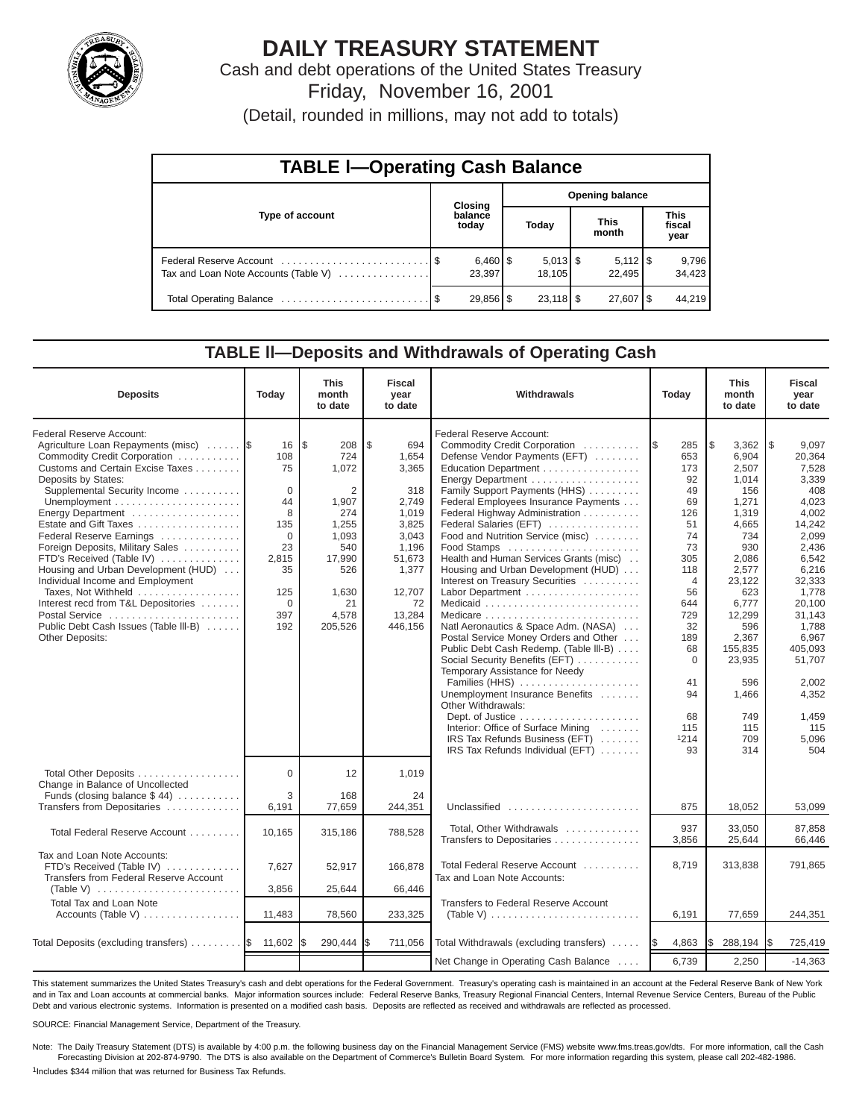

## **DAILY TREASURY STATEMENT**

Cash and debt operations of the United States Treasury Friday, November 16, 2001

(Detail, rounded in millions, may not add to totals)

| <b>TABLE I-Operating Cash Balance</b> |  |                  |                        |        |  |                              |                               |                 |  |  |  |
|---------------------------------------|--|------------------|------------------------|--------|--|------------------------------|-------------------------------|-----------------|--|--|--|
|                                       |  | Closing          | <b>Opening balance</b> |        |  |                              |                               |                 |  |  |  |
| Type of account                       |  | balance<br>today |                        | Today  |  | <b>This</b><br>month         | <b>This</b><br>fiscal<br>year |                 |  |  |  |
| Tax and Loan Note Accounts (Table V)  |  | 23,397           |                        | 18.105 |  | $5,112$ $\sqrt{5}$<br>22.495 |                               | 9,796<br>34,423 |  |  |  |
|                                       |  | 29,856 \$        |                        |        |  | $27,607$ $\frac{8}{3}$       |                               | 44.219          |  |  |  |

#### **TABLE ll—Deposits and Withdrawals of Operating Cash**

| <b>Deposits</b>                                                                                                                                                                                                                                                                                                                                                                                                                                                                                                                                             | Today                                                                                                    | <b>This</b><br>month<br>to date                                                                                                           | <b>Fiscal</b><br>year<br>to date                                                                                                        | Withdrawals                                                                                                                                                                                                                                                                                                                                                                                                                                                                                                                                                                                                                                                                                                                                                                                                                                                                                                                                 | Today                                                                                                                                                                               | <b>This</b><br>month<br>to date                                                                                                                                                                                              | <b>Fiscal</b><br>year<br>to date                                                                                                                                                                                                                |
|-------------------------------------------------------------------------------------------------------------------------------------------------------------------------------------------------------------------------------------------------------------------------------------------------------------------------------------------------------------------------------------------------------------------------------------------------------------------------------------------------------------------------------------------------------------|----------------------------------------------------------------------------------------------------------|-------------------------------------------------------------------------------------------------------------------------------------------|-----------------------------------------------------------------------------------------------------------------------------------------|---------------------------------------------------------------------------------------------------------------------------------------------------------------------------------------------------------------------------------------------------------------------------------------------------------------------------------------------------------------------------------------------------------------------------------------------------------------------------------------------------------------------------------------------------------------------------------------------------------------------------------------------------------------------------------------------------------------------------------------------------------------------------------------------------------------------------------------------------------------------------------------------------------------------------------------------|-------------------------------------------------------------------------------------------------------------------------------------------------------------------------------------|------------------------------------------------------------------------------------------------------------------------------------------------------------------------------------------------------------------------------|-------------------------------------------------------------------------------------------------------------------------------------------------------------------------------------------------------------------------------------------------|
| Federal Reserve Account:<br>Agriculture Loan Repayments (misc)<br>Commodity Credit Corporation<br>Customs and Certain Excise Taxes<br>Deposits by States:<br>Supplemental Security Income<br>Energy Department<br>Estate and Gift Taxes<br>Federal Reserve Earnings<br>Foreign Deposits, Military Sales<br>FTD's Received (Table IV)<br>Housing and Urban Development (HUD)<br>Individual Income and Employment<br>Taxes, Not Withheld<br>Interest recd from T&L Depositories<br>Postal Service<br>Public Debt Cash Issues (Table III-B)<br>Other Deposits: | 16<br>108<br>75<br>$\Omega$<br>44<br>8<br>135<br>$\Omega$<br>23<br>2,815<br>35<br>125<br>0<br>397<br>192 | l\$<br>208<br>724<br>1,072<br>$\overline{2}$<br>1.907<br>274<br>1,255<br>1,093<br>540<br>17,990<br>526<br>1,630<br>21<br>4,578<br>205,526 | \$<br>694<br>1,654<br>3,365<br>318<br>2.749<br>1.019<br>3,825<br>3,043<br>1,196<br>51,673<br>1,377<br>12,707<br>72<br>13,284<br>446,156 | <b>Federal Reserve Account:</b><br>Commodity Credit Corporation<br>Defense Vendor Payments (EFT)<br>Education Department<br>Energy Department<br>Family Support Payments (HHS)<br>Federal Employees Insurance Payments<br>Federal Highway Administration<br>Federal Salaries (EFT)<br>Food and Nutrition Service (misc)<br>Food Stamps<br>Health and Human Services Grants (misc)<br>Housing and Urban Development (HUD)<br>Interest on Treasury Securities<br>Labor Department<br>Medicaid<br>Natl Aeronautics & Space Adm. (NASA)<br>Postal Service Money Orders and Other<br>Public Debt Cash Redemp. (Table III-B)<br>Social Security Benefits (EFT)<br>Temporary Assistance for Needy<br>Families (HHS)<br>Unemployment Insurance Benefits<br>Other Withdrawals:<br>Dept. of Justice $\dots \dots \dots \dots \dots \dots$<br>Interior: Office of Surface Mining<br>IRS Tax Refunds Business (EFT)<br>IRS Tax Refunds Individual (EFT) | 285<br>1\$<br>653<br>173<br>92<br>49<br>69<br>126<br>51<br>74<br>73<br>305<br>118<br>4<br>56<br>644<br>729<br>32<br>189<br>68<br>$\mathbf 0$<br>41<br>94<br>68<br>115<br>1214<br>93 | 5<br>3,362<br>6,904<br>2,507<br>1,014<br>156<br>1.271<br>1,319<br>4,665<br>734<br>930<br>2.086<br>2,577<br>23,122<br>623<br>6,777<br>12,299<br>596<br>2,367<br>155,835<br>23,935<br>596<br>1,466<br>749<br>115<br>709<br>314 | 1\$<br>9,097<br>20,364<br>7,528<br>3,339<br>408<br>4,023<br>4.002<br>14,242<br>2,099<br>2,436<br>6,542<br>6,216<br>32,333<br>1,778<br>20,100<br>31,143<br>1,788<br>6,967<br>405,093<br>51.707<br>2.002<br>4,352<br>1,459<br>115<br>5.096<br>504 |
| Total Other Deposits<br>Change in Balance of Uncollected<br>Funds (closing balance $$44$ )                                                                                                                                                                                                                                                                                                                                                                                                                                                                  | 0<br>3                                                                                                   | 12<br>168                                                                                                                                 | 1,019<br>24                                                                                                                             |                                                                                                                                                                                                                                                                                                                                                                                                                                                                                                                                                                                                                                                                                                                                                                                                                                                                                                                                             |                                                                                                                                                                                     |                                                                                                                                                                                                                              |                                                                                                                                                                                                                                                 |
| Transfers from Depositaries                                                                                                                                                                                                                                                                                                                                                                                                                                                                                                                                 | 6,191                                                                                                    | 77,659                                                                                                                                    | 244,351                                                                                                                                 | Unclassified                                                                                                                                                                                                                                                                                                                                                                                                                                                                                                                                                                                                                                                                                                                                                                                                                                                                                                                                | 875                                                                                                                                                                                 | 18,052                                                                                                                                                                                                                       | 53,099                                                                                                                                                                                                                                          |
| Total Federal Reserve Account                                                                                                                                                                                                                                                                                                                                                                                                                                                                                                                               | 10.165                                                                                                   | 315,186                                                                                                                                   | 788,528                                                                                                                                 | Total, Other Withdrawals<br>Transfers to Depositaries                                                                                                                                                                                                                                                                                                                                                                                                                                                                                                                                                                                                                                                                                                                                                                                                                                                                                       | 937<br>3,856                                                                                                                                                                        | 33.050<br>25,644                                                                                                                                                                                                             | 87,858<br>66,446                                                                                                                                                                                                                                |
| Tax and Loan Note Accounts:<br>FTD's Received (Table IV)<br>Transfers from Federal Reserve Account<br>(Table V) $\ldots \ldots \ldots \ldots \ldots \ldots \ldots$                                                                                                                                                                                                                                                                                                                                                                                          | 7,627<br>3,856                                                                                           | 52,917<br>25,644                                                                                                                          | 166,878<br>66,446                                                                                                                       | Total Federal Reserve Account<br>Tax and Loan Note Accounts:                                                                                                                                                                                                                                                                                                                                                                                                                                                                                                                                                                                                                                                                                                                                                                                                                                                                                | 8.719                                                                                                                                                                               | 313,838                                                                                                                                                                                                                      | 791.865                                                                                                                                                                                                                                         |
| Total Tax and Loan Note                                                                                                                                                                                                                                                                                                                                                                                                                                                                                                                                     |                                                                                                          |                                                                                                                                           |                                                                                                                                         | Transfers to Federal Reserve Account                                                                                                                                                                                                                                                                                                                                                                                                                                                                                                                                                                                                                                                                                                                                                                                                                                                                                                        |                                                                                                                                                                                     |                                                                                                                                                                                                                              |                                                                                                                                                                                                                                                 |
| Accounts (Table V)                                                                                                                                                                                                                                                                                                                                                                                                                                                                                                                                          | 11,483                                                                                                   | 78,560                                                                                                                                    | 233,325                                                                                                                                 | (Table V) $\ldots \ldots \ldots \ldots \ldots \ldots \ldots \ldots$                                                                                                                                                                                                                                                                                                                                                                                                                                                                                                                                                                                                                                                                                                                                                                                                                                                                         | 6,191                                                                                                                                                                               | 77,659                                                                                                                                                                                                                       | 244,351                                                                                                                                                                                                                                         |
| Total Deposits (excluding transfers) $\ldots \ldots$ $\frac{1}{3}$ 11,602                                                                                                                                                                                                                                                                                                                                                                                                                                                                                   |                                                                                                          | 290,444 \$                                                                                                                                | 711,056                                                                                                                                 | Total Withdrawals (excluding transfers)                                                                                                                                                                                                                                                                                                                                                                                                                                                                                                                                                                                                                                                                                                                                                                                                                                                                                                     | 4,863<br><b>IS</b>                                                                                                                                                                  | I\$<br>288,194                                                                                                                                                                                                               | 725,419<br>13                                                                                                                                                                                                                                   |
|                                                                                                                                                                                                                                                                                                                                                                                                                                                                                                                                                             |                                                                                                          |                                                                                                                                           |                                                                                                                                         | Net Change in Operating Cash Balance                                                                                                                                                                                                                                                                                                                                                                                                                                                                                                                                                                                                                                                                                                                                                                                                                                                                                                        | 6,739                                                                                                                                                                               | 2,250                                                                                                                                                                                                                        | $-14,363$                                                                                                                                                                                                                                       |

This statement summarizes the United States Treasury's cash and debt operations for the Federal Government. Treasury's operating cash is maintained in an account at the Federal Reserve Bank of New York and in Tax and Loan accounts at commercial banks. Major information sources include: Federal Reserve Banks, Treasury Regional Financial Centers, Internal Revenue Service Centers, Bureau of the Public Debt and various electronic systems. Information is presented on a modified cash basis. Deposits are reflected as received and withdrawals are reflected as processed.

SOURCE: Financial Management Service, Department of the Treasury.

Note: The Daily Treasury Statement (DTS) is available by 4:00 p.m. the following business day on the Financial Management Service (FMS) website www.fms.treas.gov/dts. For more information, call the Cash Forecasting Division at 202-874-9790. The DTS is also available on the Department of Commerce's Bulletin Board System. For more information regarding this system, please call 202-482-1986. 1Includes \$344 million that was returned for Business Tax Refunds.